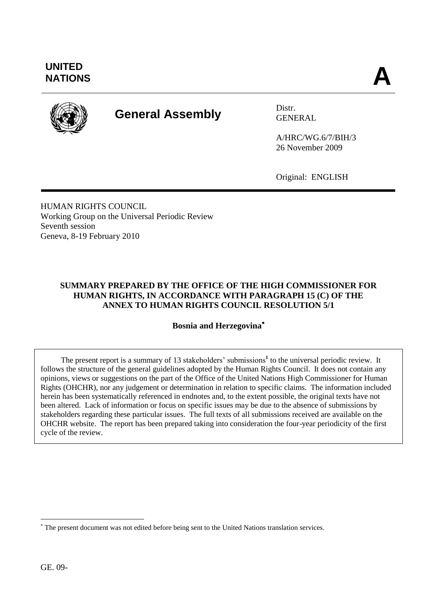<u>.</u>

# **UNITED** UNITED<br>NATIONS



# **General Assembly** Distr.

GENERAL

A/HRC/WG.6/7/BIH/3 26 November 2009

Original: ENGLISH

HUMAN RIGHTS COUNCIL Working Group on the Universal Periodic Review Seventh session Geneva, 8-19 February 2010

# **SUMMARY PREPARED BY THE OFFICE OF THE HIGH COMMISSIONER FOR HUMAN RIGHTS, IN ACCORDANCE WITH PARAGRAPH 15 (C) OF THE ANNEX TO HUMAN RIGHTS COUNCIL RESOLUTION 5/1**

# **Bosnia and Herzegovina**

The present report is a summary of 13 stakeholders' submissions<sup>1</sup> to the universal periodic review. It follows the structure of the general guidelines adopted by the Human Rights Council. It does not contain any opinions, views or suggestions on the part of the Office of the United Nations High Commissioner for Human Rights (OHCHR), nor any judgement or determination in relation to specific claims. The information included herein has been systematically referenced in endnotes and, to the extent possible, the original texts have not been altered. Lack of information or focus on specific issues may be due to the absence of submissions by stakeholders regarding these particular issues. The full texts of all submissions received are available on the OHCHR website. The report has been prepared taking into consideration the four-year periodicity of the first cycle of the review.

The present document was not edited before being sent to the United Nations translation services.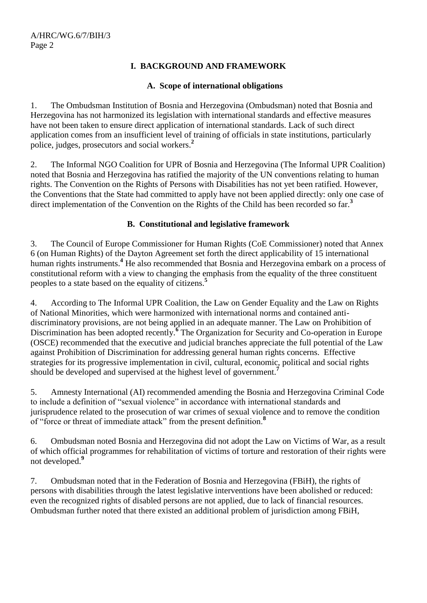# **I. BACKGROUND AND FRAMEWORK**

# **A. Scope of international obligations**

1. The Ombudsman Institution of Bosnia and Herzegovina (Ombudsman) noted that Bosnia and Herzegovina has not harmonized its legislation with international standards and effective measures have not been taken to ensure direct application of international standards. Lack of such direct application comes from an insufficient level of training of officials in state institutions, particularly police, judges, prosecutors and social workers.**<sup>2</sup>**

2. The Informal NGO Coalition for UPR of Bosnia and Herzegovina (The Informal UPR Coalition) noted that Bosnia and Herzegovina has ratified the majority of the UN conventions relating to human rights. The Convention on the Rights of Persons with Disabilities has not yet been ratified. However, the Conventions that the State had committed to apply have not been applied directly: only one case of direct implementation of the Convention on the Rights of the Child has been recorded so far.<sup>3</sup>

## **B. Constitutional and legislative framework**

3. The Council of Europe Commissioner for Human Rights (CoE Commissioner) noted that Annex 6 (on Human Rights) of the Dayton Agreement set forth the direct applicability of 15 international human rights instruments.**<sup>4</sup>** He also recommended that Bosnia and Herzegovina embark on a process of constitutional reform with a view to changing the emphasis from the equality of the three constituent peoples to a state based on the equality of citizens.**<sup>5</sup>**

4. According to The Informal UPR Coalition, the Law on Gender Equality and the Law on Rights of National Minorities, which were harmonized with international norms and contained antidiscriminatory provisions, are not being applied in an adequate manner. The Law on Prohibition of Discrimination has been adopted recently.**<sup>6</sup>** The Organization for Security and Co-operation in Europe (OSCE) recommended that the executive and judicial branches appreciate the full potential of the Law against Prohibition of Discrimination for addressing general human rights concerns. Effective strategies for its progressive implementation in civil, cultural, economic, political and social rights should be developed and supervised at the highest level of government.**<sup>7</sup>**

5. Amnesty International (AI) recommended amending the Bosnia and Herzegovina Criminal Code to include a definition of "sexual violence" in accordance with international standards and jurisprudence related to the prosecution of war crimes of sexual violence and to remove the condition of "force or threat of immediate attack" from the present definition.**<sup>8</sup>**

6. Ombudsman noted Bosnia and Herzegovina did not adopt the Law on Victims of War, as a result of which official programmes for rehabilitation of victims of torture and restoration of their rights were not developed.**<sup>9</sup>**

7. Ombudsman noted that in the Federation of Bosnia and Herzegovina (FBiH), the rights of persons with disabilities through the latest legislative interventions have been abolished or reduced: even the recognized rights of disabled persons are not applied, due to lack of financial resources. Ombudsman further noted that there existed an additional problem of jurisdiction among FBiH,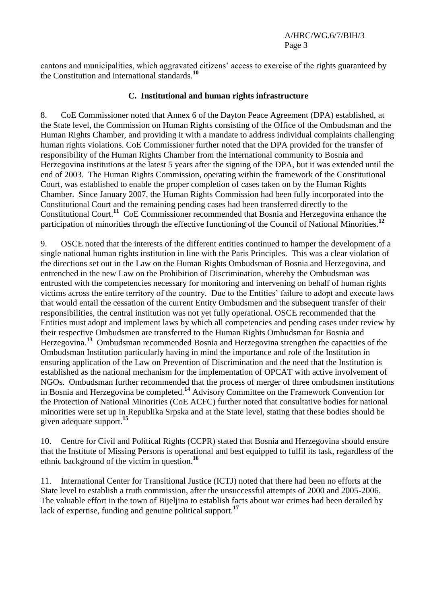cantons and municipalities, which aggravated citizens' access to exercise of the rights guaranteed by the Constitution and international standards.**<sup>10</sup>**

#### **C. Institutional and human rights infrastructure**

8. CoE Commissioner noted that Annex 6 of the Dayton Peace Agreement (DPA) established, at the State level, the Commission on Human Rights consisting of the Office of the Ombudsman and the Human Rights Chamber, and providing it with a mandate to address individual complaints challenging human rights violations. CoE Commissioner further noted that the DPA provided for the transfer of responsibility of the Human Rights Chamber from the international community to Bosnia and Herzegovina institutions at the latest 5 years after the signing of the DPA, but it was extended until the end of 2003. The Human Rights Commission, operating within the framework of the Constitutional Court, was established to enable the proper completion of cases taken on by the Human Rights Chamber. Since January 2007, the Human Rights Commission had been fully incorporated into the Constitutional Court and the remaining pending cases had been transferred directly to the Constitutional Court.**<sup>11</sup>** CoE Commissioner recommended that Bosnia and Herzegovina enhance the participation of minorities through the effective functioning of the Council of National Minorities.**<sup>12</sup>**

9. OSCE noted that the interests of the different entities continued to hamper the development of a single national human rights institution in line with the Paris Principles. This was a clear violation of the directions set out in the Law on the Human Rights Ombudsman of Bosnia and Herzegovina, and entrenched in the new Law on the Prohibition of Discrimination, whereby the Ombudsman was entrusted with the competencies necessary for monitoring and intervening on behalf of human rights victims across the entire territory of the country. Due to the Entities' failure to adopt and execute laws that would entail the cessation of the current Entity Ombudsmen and the subsequent transfer of their responsibilities, the central institution was not yet fully operational. OSCE recommended that the Entities must adopt and implement laws by which all competencies and pending cases under review by their respective Ombudsmen are transferred to the Human Rights Ombudsman for Bosnia and Herzegovina.**<sup>13</sup>** Ombudsman recommended Bosnia and Herzegovina strengthen the capacities of the Ombudsman Institution particularly having in mind the importance and role of the Institution in ensuring application of the Law on Prevention of Discrimination and the need that the Institution is established as the national mechanism for the implementation of OPCAT with active involvement of NGOs. Ombudsman further recommended that the process of merger of three ombudsmen institutions in Bosnia and Herzegovina be completed.**<sup>14</sup>** Advisory Committee on the Framework Convention for the Protection of National Minorities (CoE ACFC) further noted that consultative bodies for national minorities were set up in Republika Srpska and at the State level, stating that these bodies should be given adequate support.**<sup>15</sup>**

10. Centre for Civil and Political Rights (CCPR) stated that Bosnia and Herzegovina should ensure that the Institute of Missing Persons is operational and best equipped to fulfil its task, regardless of the ethnic background of the victim in question.**<sup>16</sup>**

11. International Center for Transitional Justice (ICTJ) noted that there had been no efforts at the State level to establish a truth commission, after the unsuccessful attempts of 2000 and 2005-2006. The valuable effort in the town of Bijeljina to establish facts about war crimes had been derailed by lack of expertise, funding and genuine political support.**<sup>17</sup>**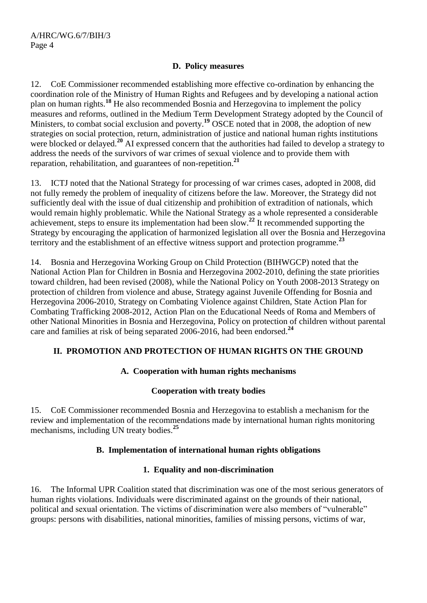# **D. Policy measures**

12. CoE Commissioner recommended establishing more effective co-ordination by enhancing the coordination role of the Ministry of Human Rights and Refugees and by developing a national action plan on human rights.**<sup>18</sup>** He also recommended Bosnia and Herzegovina to implement the policy measures and reforms, outlined in the Medium Term Development Strategy adopted by the Council of Ministers, to combat social exclusion and poverty.<sup>19</sup> OSCE noted that in 2008, the adoption of new strategies on social protection, return, administration of justice and national human rights institutions were blocked or delayed.<sup>20</sup> AI expressed concern that the authorities had failed to develop a strategy to address the needs of the survivors of war crimes of sexual violence and to provide them with reparation, rehabilitation, and guarantees of non-repetition.**<sup>21</sup>**

13. ICTJ noted that the National Strategy for processing of war crimes cases, adopted in 2008, did not fully remedy the problem of inequality of citizens before the law. Moreover, the Strategy did not sufficiently deal with the issue of dual citizenship and prohibition of extradition of nationals, which would remain highly problematic. While the National Strategy as a whole represented a considerable achievement, steps to ensure its implementation had been slow.**<sup>22</sup>** It recommended supporting the Strategy by encouraging the application of harmonized legislation all over the Bosnia and Herzegovina territory and the establishment of an effective witness support and protection programme.**<sup>23</sup>**

14. Bosnia and Herzegovina Working Group on Child Protection (BIHWGCP) noted that the National Action Plan for Children in Bosnia and Herzegovina 2002-2010, defining the state priorities toward children, had been revised (2008), while the National Policy on Youth 2008-2013 Strategy on protection of children from violence and abuse, Strategy against Juvenile Offending for Bosnia and Herzegovina 2006-2010, Strategy on Combating Violence against Children, State Action Plan for Combating Trafficking 2008-2012, Action Plan on the Educational Needs of Roma and Members of other National Minorities in Bosnia and Herzegovina, Policy on protection of children without parental care and families at risk of being separated 2006-2016, had been endorsed.**<sup>24</sup>**

# **II. PROMOTION AND PROTECTION OF HUMAN RIGHTS ON THE GROUND**

## **A. Cooperation with human rights mechanisms**

## **Cooperation with treaty bodies**

15. CoE Commissioner recommended Bosnia and Herzegovina to establish a mechanism for the review and implementation of the recommendations made by international human rights monitoring mechanisms, including UN treaty bodies.**<sup>25</sup>**

## **B. Implementation of international human rights obligations**

## **1. Equality and non-discrimination**

16. The Informal UPR Coalition stated that discrimination was one of the most serious generators of human rights violations. Individuals were discriminated against on the grounds of their national, political and sexual orientation. The victims of discrimination were also members of "vulnerable" groups: persons with disabilities, national minorities, families of missing persons, victims of war,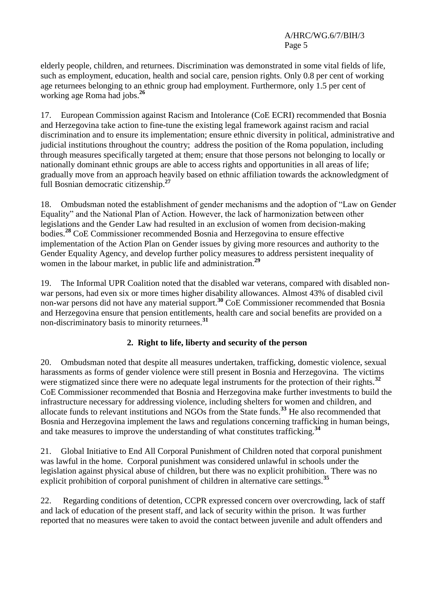elderly people, children, and returnees. Discrimination was demonstrated in some vital fields of life, such as employment, education, health and social care, pension rights. Only 0.8 per cent of working age returnees belonging to an ethnic group had employment. Furthermore, only 1.5 per cent of working age Roma had jobs. **26**

17. European Commission against Racism and Intolerance (CoE ECRI) recommended that Bosnia and Herzegovina take action to fine-tune the existing legal framework against racism and racial discrimination and to ensure its implementation; ensure ethnic diversity in political, administrative and judicial institutions throughout the country; address the position of the Roma population, including through measures specifically targeted at them; ensure that those persons not belonging to locally or nationally dominant ethnic groups are able to access rights and opportunities in all areas of life; gradually move from an approach heavily based on ethnic affiliation towards the acknowledgment of full Bosnian democratic citizenship.**<sup>27</sup>**

18. Ombudsman noted the establishment of gender mechanisms and the adoption of "Law on Gender Equality" and the National Plan of Action. However, the lack of harmonization between other legislations and the Gender Law had resulted in an exclusion of women from decision-making bodies.**<sup>28</sup>** CoE Commissioner recommended Bosnia and Herzegovina to ensure effective implementation of the Action Plan on Gender issues by giving more resources and authority to the Gender Equality Agency, and develop further policy measures to address persistent inequality of women in the labour market, in public life and administration.**<sup>29</sup>**

19. The Informal UPR Coalition noted that the disabled war veterans, compared with disabled nonwar persons, had even six or more times higher disability allowances. Almost 43% of disabled civil non-war persons did not have any material support.**<sup>30</sup>** CoE Commissioner recommended that Bosnia and Herzegovina ensure that pension entitlements, health care and social benefits are provided on a non-discriminatory basis to minority returnees.**<sup>31</sup>**

# **2. Right to life, liberty and security of the person**

20. Ombudsman noted that despite all measures undertaken, trafficking, domestic violence, sexual harassments as forms of gender violence were still present in Bosnia and Herzegovina. The victims were stigmatized since there were no adequate legal instruments for the protection of their rights.**<sup>32</sup>** CoE Commissioner recommended that Bosnia and Herzegovina make further investments to build the infrastructure necessary for addressing violence, including shelters for women and children, and allocate funds to relevant institutions and NGOs from the State funds.**<sup>33</sup>** He also recommended that Bosnia and Herzegovina implement the laws and regulations concerning trafficking in human beings, and take measures to improve the understanding of what constitutes trafficking.**<sup>34</sup>**

21. Global Initiative to End All Corporal Punishment of Children noted that corporal punishment was lawful in the home. Corporal punishment was considered unlawful in schools under the legislation against physical abuse of children, but there was no explicit prohibition. There was no explicit prohibition of corporal punishment of children in alternative care settings.**<sup>35</sup>**

22. Regarding conditions of detention, CCPR expressed concern over overcrowding, lack of staff and lack of education of the present staff, and lack of security within the prison. It was further reported that no measures were taken to avoid the contact between juvenile and adult offenders and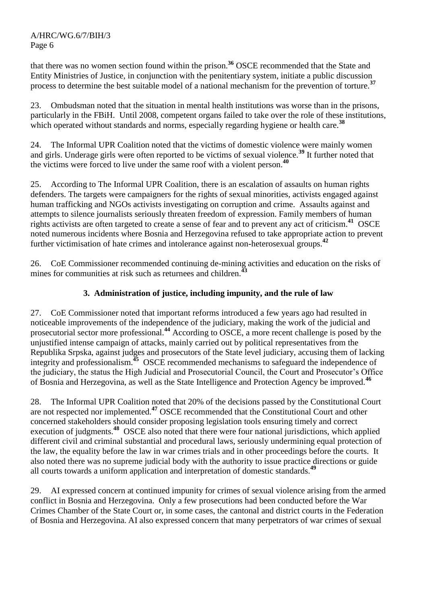that there was no women section found within the prison.**<sup>36</sup>** OSCE recommended that the State and Entity Ministries of Justice, in conjunction with the penitentiary system, initiate a public discussion process to determine the best suitable model of a national mechanism for the prevention of torture.**<sup>37</sup>**

23. Ombudsman noted that the situation in mental health institutions was worse than in the prisons, particularly in the FBiH. Until 2008, competent organs failed to take over the role of these institutions, which operated without standards and norms, especially regarding hygiene or health care.<sup>38</sup>

24. The Informal UPR Coalition noted that the victims of domestic violence were mainly women and girls. Underage girls were often reported to be victims of sexual violence.**<sup>39</sup>** It further noted that the victims were forced to live under the same roof with a violent person.**<sup>40</sup>**

25. According to The Informal UPR Coalition, there is an escalation of assaults on human rights defenders. The targets were campaigners for the rights of sexual minorities, activists engaged against human trafficking and NGOs activists investigating on corruption and crime. Assaults against and attempts to silence journalists seriously threaten freedom of expression. Family members of human rights activists are often targeted to create a sense of fear and to prevent any act of criticism.**<sup>41</sup>** OSCE noted numerous incidents where Bosnia and Herzegovina refused to take appropriate action to prevent further victimisation of hate crimes and intolerance against non-heterosexual groups.**<sup>42</sup>**

26. CoE Commissioner recommended continuing de-mining activities and education on the risks of mines for communities at risk such as returnees and children.<sup>43</sup>

# **3. Administration of justice, including impunity, and the rule of law**

27. CoE Commissioner noted that important reforms introduced a few years ago had resulted in noticeable improvements of the independence of the judiciary, making the work of the judicial and prosecutorial sector more professional.**<sup>44</sup>** According to OSCE, a more recent challenge is posed by the unjustified intense campaign of attacks, mainly carried out by political representatives from the Republika Srpska, against judges and prosecutors of the State level judiciary, accusing them of lacking integrity and professionalism.**<sup>45</sup>** OSCE recommended mechanisms to safeguard the independence of the judiciary, the status the High Judicial and Prosecutorial Council, the Court and Prosecutor's Office of Bosnia and Herzegovina, as well as the State Intelligence and Protection Agency be improved.**<sup>46</sup>**

28. The Informal UPR Coalition noted that 20% of the decisions passed by the Constitutional Court are not respected nor implemented.**<sup>47</sup>** OSCE recommended that the Constitutional Court and other concerned stakeholders should consider proposing legislation tools ensuring timely and correct execution of judgments.<sup>48</sup> OSCE also noted that there were four national jurisdictions, which applied different civil and criminal substantial and procedural laws, seriously undermining equal protection of the law, the equality before the law in war crimes trials and in other proceedings before the courts. It also noted there was no supreme judicial body with the authority to issue practice directions or guide all courts towards a uniform application and interpretation of domestic standards.**<sup>49</sup>**

29. AI expressed concern at continued impunity for crimes of sexual violence arising from the armed conflict in Bosnia and Herzegovina. Only a few prosecutions had been conducted before the War Crimes Chamber of the State Court or, in some cases, the cantonal and district courts in the Federation of Bosnia and Herzegovina. AI also expressed concern that many perpetrators of war crimes of sexual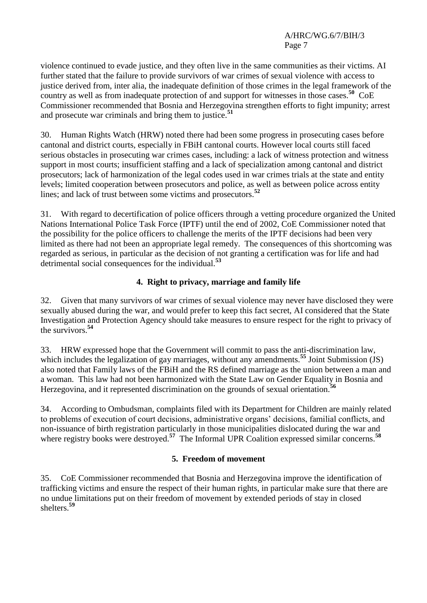violence continued to evade justice, and they often live in the same communities as their victims. AI further stated that the failure to provide survivors of war crimes of sexual violence with access to justice derived from, inter alia, the inadequate definition of those crimes in the legal framework of the country as well as from inadequate protection of and support for witnesses in those cases.**<sup>50</sup>** CoE Commissioner recommended that Bosnia and Herzegovina strengthen efforts to fight impunity; arrest and prosecute war criminals and bring them to justice.**<sup>51</sup>**

30. Human Rights Watch (HRW) noted there had been some progress in prosecuting cases before cantonal and district courts, especially in FBiH cantonal courts. However local courts still faced serious obstacles in prosecuting war crimes cases, including: a lack of witness protection and witness support in most courts; insufficient staffing and a lack of specialization among cantonal and district prosecutors; lack of harmonization of the legal codes used in war crimes trials at the state and entity levels; limited cooperation between prosecutors and police, as well as between police across entity lines; and lack of trust between some victims and prosecutors.**<sup>52</sup>**

31. With regard to decertification of police officers through a vetting procedure organized the United Nations International Police Task Force (IPTF) until the end of 2002, CoE Commissioner noted that the possibility for the police officers to challenge the merits of the IPTF decisions had been very limited as there had not been an appropriate legal remedy. The consequences of this shortcoming was regarded as serious, in particular as the decision of not granting a certification was for life and had detrimental social consequences for the individual.**<sup>53</sup>**

# **4. Right to privacy, marriage and family life**

32. Given that many survivors of war crimes of sexual violence may never have disclosed they were sexually abused during the war, and would prefer to keep this fact secret, AI considered that the State Investigation and Protection Agency should take measures to ensure respect for the right to privacy of the survivors.**<sup>54</sup>**

33. HRW expressed hope that the Government will commit to pass the anti-discrimination law, which includes the legalization of gay marriages, without any amendments.**<sup>55</sup>** Joint Submission (JS) also noted that Family laws of the FBiH and the RS defined marriage as the union between a man and a woman. This law had not been harmonized with the State Law on Gender Equality in Bosnia and Herzegovina, and it represented discrimination on the grounds of sexual orientation.**<sup>56</sup>**

34. According to Ombudsman, complaints filed with its Department for Children are mainly related to problems of execution of court decisions, administrative organs' decisions, familial conflicts, and non-issuance of birth registration particularly in those municipalities dislocated during the war and where registry books were destroyed.<sup>57</sup> The Informal UPR Coalition expressed similar concerns.<sup>58</sup>

# **5. Freedom of movement**

35. CoE Commissioner recommended that Bosnia and Herzegovina improve the identification of trafficking victims and ensure the respect of their human rights, in particular make sure that there are no undue limitations put on their freedom of movement by extended periods of stay in closed shelters.**<sup>59</sup>**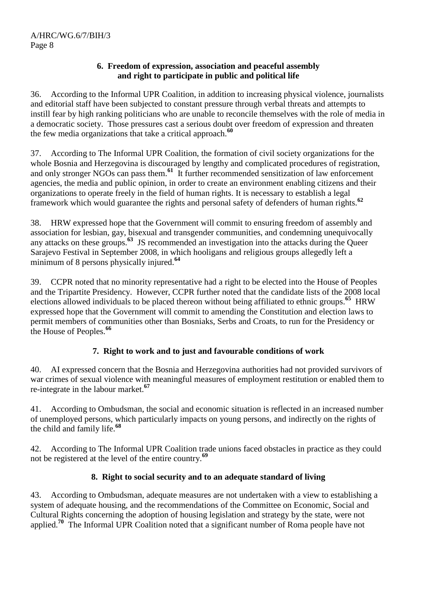# **6. Freedom of expression, association and peaceful assembly and right to participate in public and political life**

36. According to the Informal UPR Coalition, in addition to increasing physical violence, journalists and editorial staff have been subjected to constant pressure through verbal threats and attempts to instill fear by high ranking politicians who are unable to reconcile themselves with the role of media in a democratic society. Those pressures cast a serious doubt over freedom of expression and threaten the few media organizations that take a critical approach.**<sup>60</sup>**

37. According to The Informal UPR Coalition, the formation of civil society organizations for the whole Bosnia and Herzegovina is discouraged by lengthy and complicated procedures of registration, and only stronger NGOs can pass them.<sup>61</sup> It further recommended sensitization of law enforcement agencies, the media and public opinion, in order to create an environment enabling citizens and their organizations to operate freely in the field of human rights. It is necessary to establish a legal framework which would guarantee the rights and personal safety of defenders of human rights.**<sup>62</sup>**

38. HRW expressed hope that the Government will commit to ensuring freedom of assembly and association for lesbian, gay, bisexual and transgender communities, and condemning unequivocally any attacks on these groups.**<sup>63</sup>** JS recommended an investigation into the attacks during the Queer Sarajevo Festival in September 2008, in which hooligans and religious groups allegedly left a minimum of 8 persons physically injured.**<sup>64</sup>**

39. CCPR noted that no minority representative had a right to be elected into the House of Peoples and the Tripartite Presidency. However, CCPR further noted that the candidate lists of the 2008 local elections allowed individuals to be placed thereon without being affiliated to ethnic groups. **65** HRW expressed hope that the Government will commit to amending the Constitution and election laws to permit members of communities other than Bosniaks, Serbs and Croats, to run for the Presidency or the House of Peoples.**<sup>66</sup>**

# **7. Right to work and to just and favourable conditions of work**

40. AI expressed concern that the Bosnia and Herzegovina authorities had not provided survivors of war crimes of sexual violence with meaningful measures of employment restitution or enabled them to re-integrate in the labour market.**<sup>67</sup>**

41. According to Ombudsman, the social and economic situation is reflected in an increased number of unemployed persons, which particularly impacts on young persons, and indirectly on the rights of the child and family life.**<sup>68</sup>**

42. According to The Informal UPR Coalition trade unions faced obstacles in practice as they could not be registered at the level of the entire country.**<sup>69</sup>**

# **8. Right to social security and to an adequate standard of living**

43. According to Ombudsman, adequate measures are not undertaken with a view to establishing a system of adequate housing, and the recommendations of the Committee on Economic, Social and Cultural Rights concerning the adoption of housing legislation and strategy by the state, were not applied.<sup>70</sup> The Informal UPR Coalition noted that a significant number of Roma people have not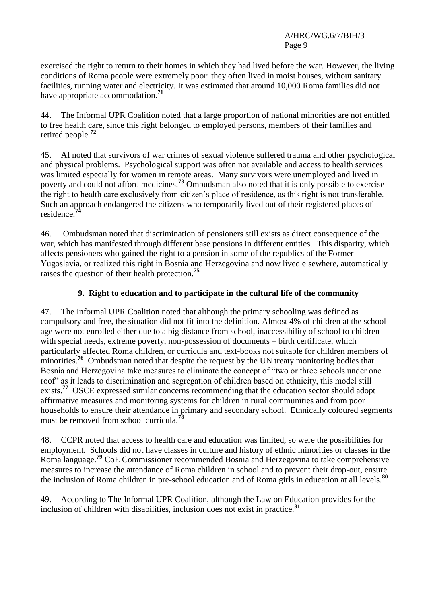exercised the right to return to their homes in which they had lived before the war. However, the living conditions of Roma people were extremely poor: they often lived in moist houses, without sanitary facilities, running water and electricity. It was estimated that around 10,000 Roma families did not have appropriate accommodation.**<sup>71</sup>**

44. The Informal UPR Coalition noted that a large proportion of national minorities are not entitled to free health care, since this right belonged to employed persons, members of their families and retired people.**<sup>72</sup>**

45. AI noted that survivors of war crimes of sexual violence suffered trauma and other psychological and physical problems. Psychological support was often not available and access to health services was limited especially for women in remote areas. Many survivors were unemployed and lived in poverty and could not afford medicines.**<sup>73</sup>** Ombudsman also noted that it is only possible to exercise the right to health care exclusively from citizen's place of residence, as this right is not transferable. Such an approach endangered the citizens who temporarily lived out of their registered places of residence.**<sup>74</sup>**

46. Ombudsman noted that discrimination of pensioners still exists as direct consequence of the war, which has manifested through different base pensions in different entities. This disparity, which affects pensioners who gained the right to a pension in some of the republics of the Former Yugoslavia, or realized this right in Bosnia and Herzegovina and now lived elsewhere, automatically raises the question of their health protection.**<sup>75</sup>**

# **9. Right to education and to participate in the cultural life of the community**

47. The Informal UPR Coalition noted that although the primary schooling was defined as compulsory and free, the situation did not fit into the definition. Almost 4% of children at the school age were not enrolled either due to a big distance from school, inaccessibility of school to children with special needs, extreme poverty, non-possession of documents – birth certificate, which particularly affected Roma children, or curricula and text-books not suitable for children members of minorities.<sup>76</sup> Ombudsman noted that despite the request by the UN treaty monitoring bodies that Bosnia and Herzegovina take measures to eliminate the concept of "two or three schools under one roof" as it leads to discrimination and segregation of children based on ethnicity, this model still exists.<sup>77</sup> OSCE expressed similar concerns recommending that the education sector should adopt affirmative measures and monitoring systems for children in rural communities and from poor households to ensure their attendance in primary and secondary school. Ethnically coloured segments must be removed from school curricula. **78**

48. CCPR noted that access to health care and education was limited, so were the possibilities for employment. Schools did not have classes in culture and history of ethnic minorities or classes in the Roma language.**<sup>79</sup>** CoE Commissioner recommended Bosnia and Herzegovina to take comprehensive measures to increase the attendance of Roma children in school and to prevent their drop-out, ensure the inclusion of Roma children in pre-school education and of Roma girls in education at all levels.**<sup>80</sup>**

49. According to The Informal UPR Coalition, although the Law on Education provides for the inclusion of children with disabilities, inclusion does not exist in practice.**<sup>81</sup>**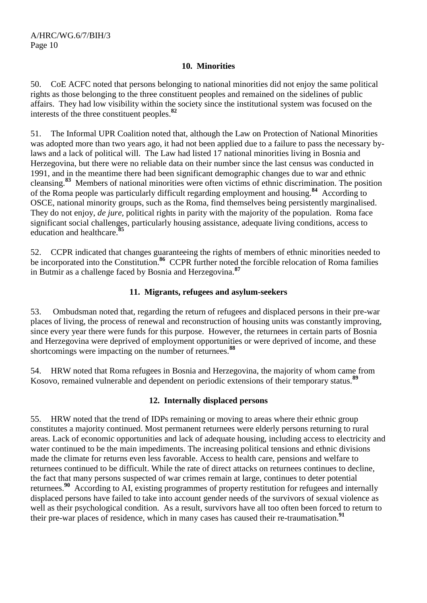#### **10. Minorities**

50. CoE ACFC noted that persons belonging to national minorities did not enjoy the same political rights as those belonging to the three constituent peoples and remained on the sidelines of public affairs. They had low visibility within the society since the institutional system was focused on the interests of the three constituent peoples.**<sup>82</sup>**

51. The Informal UPR Coalition noted that, although the Law on Protection of National Minorities was adopted more than two years ago, it had not been applied due to a failure to pass the necessary bylaws and a lack of political will. The Law had listed 17 national minorities living in Bosnia and Herzegovina, but there were no reliable data on their number since the last census was conducted in 1991, and in the meantime there had been significant demographic changes due to war and ethnic cleansing.**<sup>83</sup>** Members of national minorities were often victims of ethnic discrimination. The position of the Roma people was particularly difficult regarding employment and housing.**<sup>84</sup>** According to OSCE, national minority groups, such as the Roma, find themselves being persistently marginalised. They do not enjoy, *de jure,* political rights in parity with the majority of the population. Roma face significant social challenges, particularly housing assistance, adequate living conditions, access to education and healthcare.**<sup>85</sup>**

52. CCPR indicated that changes guaranteeing the rights of members of ethnic minorities needed to be incorporated into the Constitution.<sup>86</sup> CCPR further noted the forcible relocation of Roma families in Butmir as a challenge faced by Bosnia and Herzegovina.**<sup>87</sup>**

## **11. Migrants, refugees and asylum-seekers**

53. Ombudsman noted that, regarding the return of refugees and displaced persons in their pre-war places of living, the process of renewal and reconstruction of housing units was constantly improving, since every year there were funds for this purpose. However, the returnees in certain parts of Bosnia and Herzegovina were deprived of employment opportunities or were deprived of income, and these shortcomings were impacting on the number of returnees.**<sup>88</sup>**

54. HRW noted that Roma refugees in Bosnia and Herzegovina, the majority of whom came from Kosovo, remained vulnerable and dependent on periodic extensions of their temporary status.**<sup>89</sup>**

## **12. Internally displaced persons**

55. HRW noted that the trend of IDPs remaining or moving to areas where their ethnic group constitutes a majority continued. Most permanent returnees were elderly persons returning to rural areas. Lack of economic opportunities and lack of adequate housing, including access to electricity and water continued to be the main impediments. The increasing political tensions and ethnic divisions made the climate for returns even less favorable. Access to health care, pensions and welfare to returnees continued to be difficult. While the rate of direct attacks on returnees continues to decline, the fact that many persons suspected of war crimes remain at large, continues to deter potential returnees.**<sup>90</sup>** According to AI, existing programmes of property restitution for refugees and internally displaced persons have failed to take into account gender needs of the survivors of sexual violence as well as their psychological condition. As a result, survivors have all too often been forced to return to their pre-war places of residence, which in many cases has caused their re-traumatisation.**<sup>91</sup>**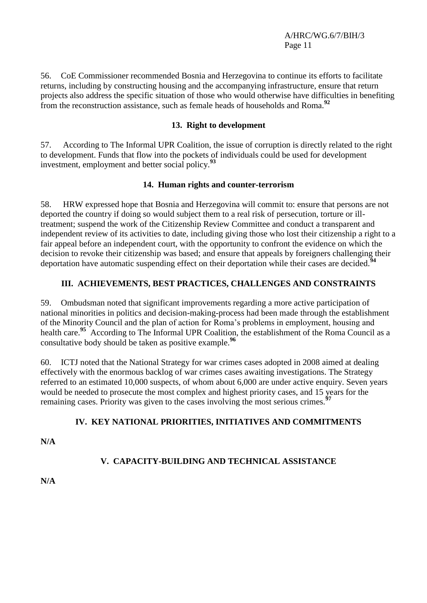56. CoE Commissioner recommended Bosnia and Herzegovina to continue its efforts to facilitate returns, including by constructing housing and the accompanying infrastructure, ensure that return projects also address the specific situation of those who would otherwise have difficulties in benefiting from the reconstruction assistance, such as female heads of households and Roma.**<sup>92</sup>**

# **13. Right to development**

57. According to The Informal UPR Coalition, the issue of corruption is directly related to the right to development. Funds that flow into the pockets of individuals could be used for development investment, employment and better social policy.**<sup>93</sup>**

# **14. Human rights and counter-terrorism**

58. HRW expressed hope that Bosnia and Herzegovina will commit to: ensure that persons are not deported the country if doing so would subject them to a real risk of persecution, torture or illtreatment; suspend the work of the Citizenship Review Committee and conduct a transparent and independent review of its activities to date, including giving those who lost their citizenship a right to a fair appeal before an independent court, with the opportunity to confront the evidence on which the decision to revoke their citizenship was based; and ensure that appeals by foreigners challenging their deportation have automatic suspending effect on their deportation while their cases are decided.**<sup>94</sup>**

# **III. ACHIEVEMENTS, BEST PRACTICES, CHALLENGES AND CONSTRAINTS**

59. Ombudsman noted that significant improvements regarding a more active participation of national minorities in politics and decision-making-process had been made through the establishment of the Minority Council and the plan of action for Roma's problems in employment, housing and health care.<sup>95</sup> According to The Informal UPR Coalition, the establishment of the Roma Council as a consultative body should be taken as positive example.**<sup>96</sup>**

60. ICTJ noted that the National Strategy for war crimes cases adopted in 2008 aimed at dealing effectively with the enormous backlog of war crimes cases awaiting investigations. The Strategy referred to an estimated 10,000 suspects, of whom about 6,000 are under active enquiry. Seven years would be needed to prosecute the most complex and highest priority cases, and 15 years for the remaining cases. Priority was given to the cases involving the most serious crimes.**<sup>97</sup>**

# **IV. KEY NATIONAL PRIORITIES, INITIATIVES AND COMMITMENTS**

**N/A**

# **V. CAPACITY-BUILDING AND TECHNICAL ASSISTANCE**

**N/A**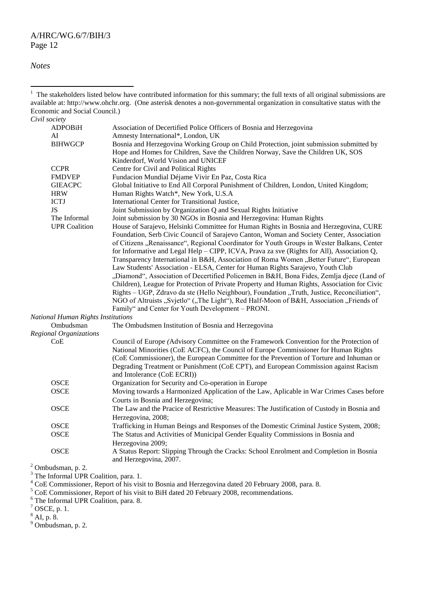*Notes*

 $\overline{a}$ 

<sup>3</sup> The Informal UPR Coalition, para. 1.

- <sup>5</sup> CoE Commissioner, Report of his visit to BiH dated 20 February 2008, recommendations.
- <sup>6</sup> The Informal UPR Coalition, para. 8.

 $7$  OSCE, p. 1.

<sup>1</sup> The stakeholders listed below have contributed information for this summary; the full texts of all original submissions are available at: http:/[/www.ohchr.org.](http://www.ohchr.org/) (One asterisk denotes a non-governmental organization in consultative status with the Economic and Social Council.) *Civil society* Association of Decertified Police Officers of Bosnia and Herzegovina AI Amnesty International\*, London, UK BIHWGCP Bosnia and Herzegovina Working Group on Child Protection, joint submission submitted by Hope and Homes for Children, Save the Children Norway, Save the Children UK, SOS Kinderdorf, World Vision and UNICEF CCPR Centre for Civil and Political Rights<br>FMDVEP Fundacion Mundial Déjame Vivir E FMDVEP Fundacion Mundial Déjame Vivir En Paz, Costa Rica<br>GIEACPC Global Initiative to End All Corporal Punishment of C Global Initiative to End All Corporal Punishment of Children, London, United Kingdom; HRW Human Rights Watch\*, New York, U.S.A<br>ICTJ International Center for Transitional Justic International Center for Transitional Justice, JS Joint Submission by Organization Q and Sexual Rights Initiative The Informal Joint submission by 30 NGOs in Bosnia and Herzegovina: Human Rights<br>UPR Coalition House of Sarajevo, Helsinki Committee for Human Rights in Bosnia and I House of Sarajevo, Helsinki Committee for Human Rights in Bosnia and Herzegovina, CURE Foundation, Serb Civic Council of Sarajevo Canton, Woman and Society Center, Association of Citizens "Renaissance", Regional Coordinator for Youth Groups in Wester Balkans, Center for Informative and Legal Help – CIPP, ICVA, Prava za sve (Rights for All), Association Q, Transparency International in B&H, Association of Roma Women ..Better Future", European Law Students' Association - ELSA, Center for Human Rights Sarajevo, Youth Club "Diamond", Association of Decertified Policemen in B&H, Bona Fides, Zemlja djece (Land of Children), League for Protection of Private Property and Human Rights, Association for Civic Rights – UGP, Zdravo da ste (Hello Neighbour), Foundation "Truth, Justice, Reconciliation", NGO of Altruists "Svjetlo" ("The Light"), Red Half-Moon of B&H, Association "Friends of Family" and Center for Youth Development – PRONI. *National Human Rights Institutions* Ombudsman The Ombudsmen Institution of Bosnia and Herzegovina *Regional Organizations* CoE Council of Europe *(*Advisory Committee on the Framework Convention for the Protection of National Minorities (CoE ACFC), the Council of Europe Commissioner for Human Rights (CoE Commissioner), the European Committee for the Prevention of Torture and Inhuman or Degrading Treatment or Punishment (CoE CPT), and European Commission against Racism and Intolerance (CoE ECRI)) OSCE Organization for Security and Co-operation in Europe OSCE Moving towards a Harmonized Application of the Law, Aplicable in War Crimes Cases before Courts in Bosnia and Herzegovina; OSCE The Law and the Pracice of Restrictive Measures: The Justification of Custody in Bosnia and Herzegovina, 2008; OSCE Trafficking in Human Beings and Responses of the Domestic Criminal Justice System, 2008; OSCE The Status and Activities of Municipal Gender Equality Commissions in Bosnia and Herzegovina 2009; OSCE A Status Report: Slipping Through the Cracks: School Enrolment and Completion in Bosnia and Herzegovina, 2007. <sup>2</sup> Ombudsman, p. 2.

<sup>4</sup> CoE Commissioner, Report of his visit to Bosnia and Herzegovina dated 20 February 2008, para. 8.

<sup>8</sup> AI, p. 8.

<sup>9</sup> Ombudsman, p. 2.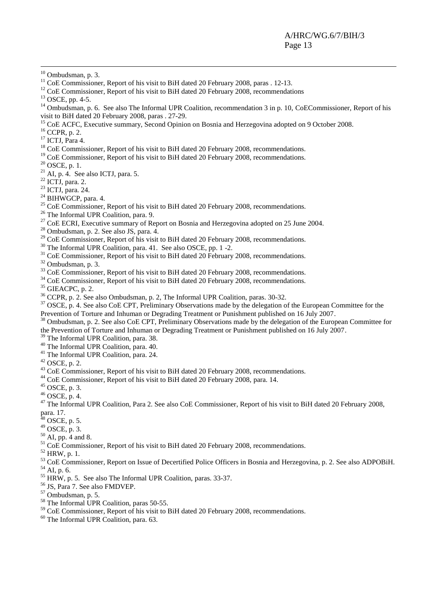-

- $11$  CoE Commissioner, Report of his visit to BiH dated 20 February 2008, paras . 12-13.
- <sup>12</sup> CoE Commissioner, Report of his visit to BiH dated 20 February 2008, recommendations
- $13$  OSCE, pp. 4-5.

<sup>14</sup> Ombudsman, p. 6. See also The Informal UPR Coalition, recommendation 3 in p. 10, CoECommissioner, Report of his visit to BiH dated 20 February 2008, paras . 27-29.

- <sup>15</sup> CoE ACFC, Executive summary, Second Opinion on Bosnia and Herzegovina adopted on 9 October 2008.
- <sup>16</sup> CCPR, p. 2.
- <sup>17</sup> ICTJ, Para 4.
- <sup>18</sup> CoE Commissioner, Report of his visit to BiH dated 20 February 2008, recommendations.
- <sup>19</sup> CoE Commissioner, Report of his visit to BiH dated 20 February 2008, recommendations.
- $20$  OSCE, p. 1.
- $21$  AI, p. 4. See also ICTJ, para. 5.
- $22$  ICTJ, para. 2.
- <sup>23</sup> ICTJ, para. 24.
- $24$  BIHWGCP, para. 4.
- $25$  CoE Commissioner, Report of his visit to BiH dated 20 February 2008, recommendations.
- <sup>26</sup> The Informal UPR Coalition, para. 9.
- $27$  CoE ECRI, Executive summary of Report on Bosnia and Herzegovina adopted on 25 June 2004.
- <sup>28</sup> Ombudsman, p. 2. See also JS, para. 4.
- <sup>29</sup> CoE Commissioner, Report of his visit to BiH dated 20 February 2008, recommendations.
- <sup>30</sup> The Informal UPR Coalition, para. 41. See also OSCE, pp. 1 -2.
- $31$  CoE Commissioner, Report of his visit to BiH dated 20 February 2008, recommendations.

<sup>32</sup> Ombudsman, p. 3.

- <sup>33</sup> CoE Commissioner, Report of his visit to BiH dated 20 February 2008, recommendations.
- <sup>34</sup> CoE Commissioner, Report of his visit to BiH dated 20 February 2008, recommendations.

 $35$  GIEACPC, p. 2.

<sup>36</sup> CCPR, p. 2. See also Ombudsman, p. 2, The Informal UPR Coalition, paras. 30-32.

 $37$  OSCE, p. 4. See also CoE CPT, Preliminary Observations made by the delegation of the European Committee for the Prevention of Torture and Inhuman or Degrading Treatment or Punishment published on 16 July 2007.

<sup>38</sup> Ombudsman, p. 2. See also CoE CPT, Preliminary Observations made by the delegation of the European Committee for the Prevention of Torture and Inhuman or Degrading Treatment or Punishment published on 16 July 2007.

- <sup>39</sup> The Informal UPR Coalition, para. 38.
- <sup>40</sup> The Informal UPR Coalition, para. 40.
- <sup>41</sup> The Informal UPR Coalition, para. 24.
- $42$  OSCE, p. 2.
- <sup>43</sup> CoE Commissioner, Report of his visit to BiH dated 20 February 2008, recommendations.
- <sup>44</sup> CoE Commissioner, Report of his visit to BiH dated 20 February 2008, para. 14.
- <sup>45</sup> OSCE, p. 3.
- <sup>46</sup> OSCE, p. 4.

 $47$  The Informal UPR Coalition, Para 2. See also CoE Commissioner, Report of his visit to BiH dated 20 February 2008, para. 17.

- $48$  OSCE, p. 5.
- $49$  OSCE, p. 3.
- $50$  AI, pp. 4 and 8.
- <sup>51</sup> CoE Commissioner, Report of his visit to BiH dated 20 February 2008, recommendations.
- <sup>52</sup> HRW, p. 1.
- <sup>53</sup> CoE Commissioner, Report on Issue of Decertified Police Officers in Bosnia and Herzegovina, p. 2. See also ADPOBiH. <sup>54</sup> AI, p. 6.
- <sup>55</sup> HRW, p. 5. See also The Informal UPR Coalition, paras. 33-37.
- <sup>56</sup> JS, Para 7. See also FMDVEP.
- $57$  Ombudsman, p. 5.
- <sup>58</sup> The Informal UPR Coalition, paras 50-55.
- $59$  CoE Commissioner, Report of his visit to BiH dated 20 February 2008, recommendations.
- <sup>60</sup> The Informal UPR Coalition, para. 63.

 $10$  Ombudsman, p. 3.